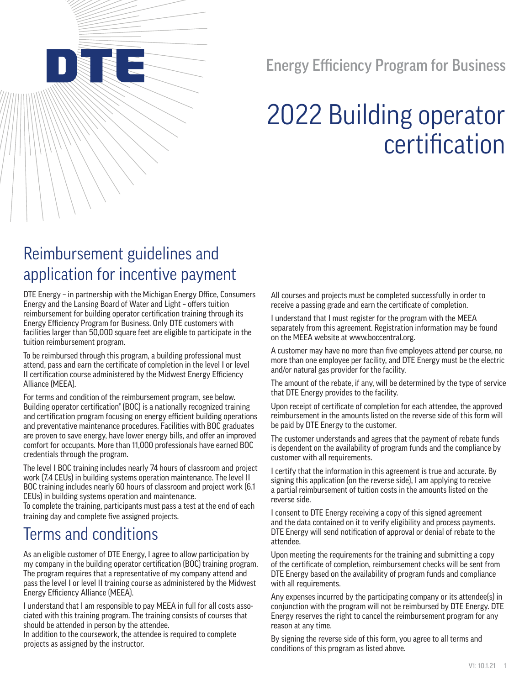Energy Efficiency Program for Business

# 2022 Building operator certification

## Reimbursement guidelines and application for incentive payment

DTE Energy – in partnership with the Michigan Energy Office, Consumers Energy and the Lansing Board of Water and Light – offers tuition reimbursement for building operator certification training through its Energy Efficiency Program for Business. Only DTE customers with facilities larger than 50,000 square feet are eligible to participate in the tuition reimbursement program.

To be reimbursed through this program, a building professional must attend, pass and earn the certificate of completion in the level I or level II certification course administered by the Midwest Energy Efficiency Alliance (MEEA).

For terms and condition of the reimbursement program, see below. Building operator certification® (BOC) is a nationally recognized training and certification program focusing on energy efficient building operations and preventative maintenance procedures. Facilities with BOC graduates are proven to save energy, have lower energy bills, and offer an improved comfort for occupants. More than 11,000 professionals have earned BOC credentials through the program.

The level I BOC training includes nearly 74 hours of classroom and project work (7.4 CEUs) in building systems operation maintenance. The level II BOC training includes nearly 60 hours of classroom and project work (6.1 CEUs) in building systems operation and maintenance.

To complete the training, participants must pass a test at the end of each training day and complete five assigned projects.

### Terms and conditions

As an eligible customer of DTE Energy, I agree to allow participation by my company in the building operator certification (BOC) training program. The program requires that a representative of my company attend and pass the level I or level II training course as administered by the Midwest Energy Efficiency Alliance (MEEA).

I understand that I am responsible to pay MEEA in full for all costs associated with this training program. The training consists of courses that should be attended in person by the attendee.

In addition to the coursework, the attendee is required to complete projects as assigned by the instructor.

All courses and projects must be completed successfully in order to receive a passing grade and earn the certificate of completion.

I understand that I must [register for the progra](www.boccentral.org)m with the MEEA separately from this agreement. Registration information may be found on the MEEA website at www.boccentral.org.

A customer may have no more than five employees attend per course, no more than one employee per facility, and DTE Energy must be the electric and/or natural gas provider for the facility.

The amount of the rebate, if any, will be determined by the type of service that DTE Energy provides to the facility.

Upon receipt of certificate of completion for each attendee, the approved reimbursement in the amounts listed on the reverse side of this form will be paid by DTE Energy to the customer.

The customer understands and agrees that the payment of rebate funds is dependent on the availability of program funds and the compliance by customer with all requirements.

I certify that the information in this agreement is true and accurate. By signing this application (on the reverse side), I am applying to receive a partial reimbursement of tuition costs in the amounts listed on the reverse side.

I consent to DTE Energy receiving a copy of this signed agreement and the data contained on it to verify eligibility and process payments. DTE Energy will send notification of approval or denial of rebate to the attendee.

Upon meeting the requirements for the training and submitting a copy of the certificate of completion, reimbursement checks will be sent from DTE Energy based on the availability of program funds and compliance with all requirements.

Any expenses incurred by the participating company or its attendee(s) in conjunction with the program will not be reimbursed by DTE Energy. DTE Energy reserves the right to cancel the reimbursement program for any reason at any time.

By signing the reverse side of this form, you agree to all terms and conditions of this program as listed above.